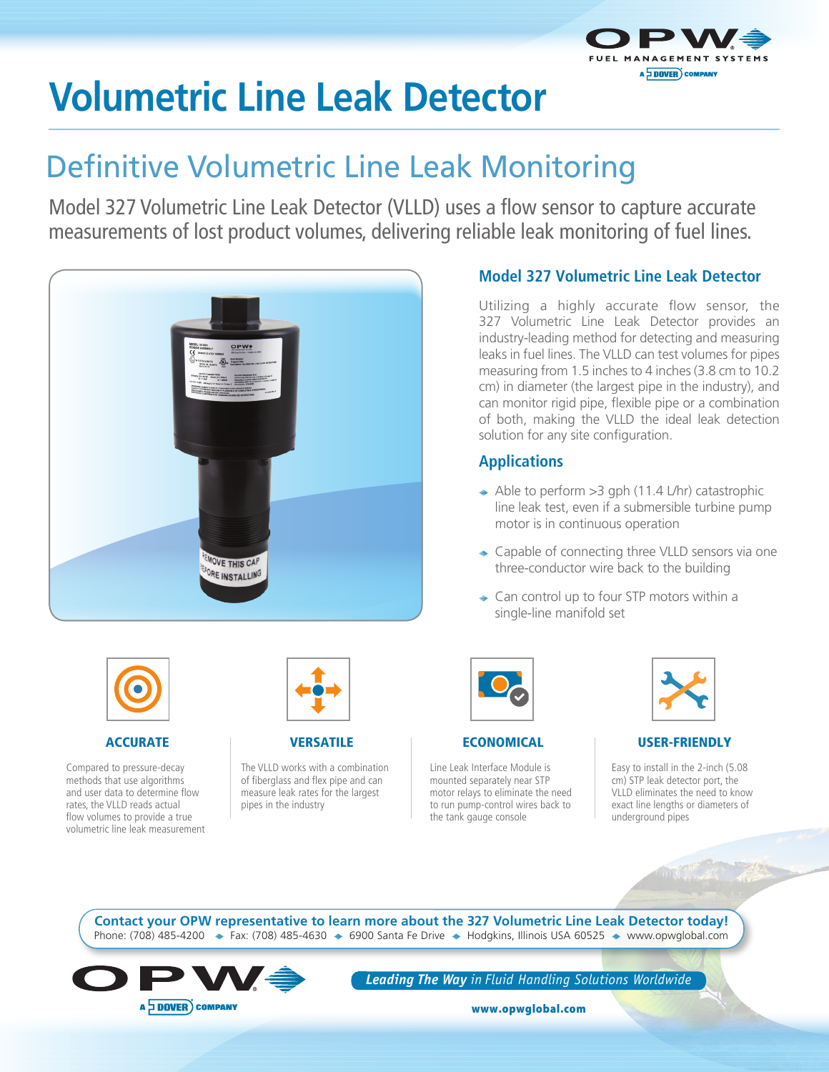

# **Volumetric Line Leak Detector**

## Definitive Volumetric Line Leak Monitoring

Model 327 Volumetric Line Leak Detector (VLLD) uses a flow sensor to capture accurate measurements of lost product volumes, delivering reliable leak monitoring of fuel lines.



### **Model 327 Volumetric Line Leak Detector**

Utilizing a highly accurate flow sensor, the 327 Volumetric Line Leak Detector provides an industry-leading method for detecting and measuring leaks in fuel lines. The VLLD can test volumes for pipes measuring from 1.5 inches to 4 inches (3.8 cm to 10.2 cm) in diameter (the largest pipe in the industry), and can monitor rigid pipe, flexible pipe or a combination of both, making the VLLD the ideal leak detection solution for any site configuration.

### **Applications**

- $\Rightarrow$  Able to perform > 3 gph (11.4 L/hr) catastrophic line leak test, even if a submersible turbine pump motor is in continuous operation
- ◆ Capable of connecting three VLLD sensors via one three-conductor wire back to the building
- **← Can control up to four STP motors within a** single-line manifold set



### ACCURATE

Compared to pressure-decay methods that use algorithms and user data to determine flow rates, the VLLD reads actual flow volumes to provide a true volumetric line leak measurement



### **VERSATILE**

The VLLD works with a combination of fiberglass and flex pipe and can measure leak rates for the largest pipes in the industry



### **ECONOMICAL**

Line Leak Interface Module is mounted separately near STP motor relays to eliminate the need to run pump-control wires back to the tank gauge console



### USER-FRIENDLY

Easy to install in the 2-inch (5.08 cm) STP leak detector port, the VLLD eliminates the need to know exact line lengths or diameters of underground pipes

Phone: (708) 485-4200  $\div$  Fax: (708) 485-4630  $\div$  6900 Santa Fe Drive  $\div$  Hodgkins, Illinois USA 60525  $\div$  www.opwglobal.com **Contact your OPW representative to learn more about the 327 Volumetric Line Leak Detector today!**



*Leading The Way in Fluid Handling Solutions Worldwide*

www.opwglobal.com